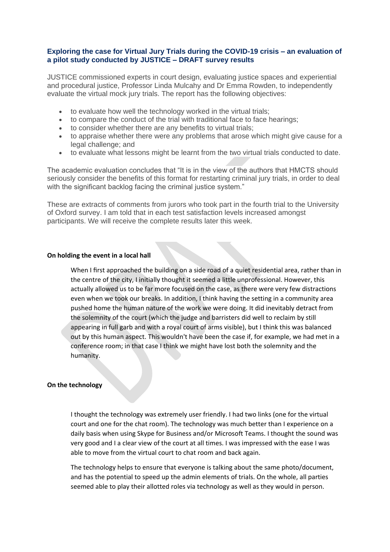# **Exploring the case for Virtual Jury Trials during the COVID-19 crisis – an evaluation of a pilot study conducted by JUSTICE – DRAFT survey results**

JUSTICE commissioned experts in court design, evaluating justice spaces and experiential and procedural justice, Professor Linda Mulcahy and Dr Emma Rowden, to independently evaluate the virtual mock jury trials. The report has the following objectives:

- to evaluate how well the technology worked in the virtual trials;
- to compare the conduct of the trial with traditional face to face hearings;
- to consider whether there are any benefits to virtual trials;
- to appraise whether there were any problems that arose which might give cause for a legal challenge; and
- to evaluate what lessons might be learnt from the two virtual trials conducted to date.

The academic evaluation concludes that "It is in the view of the authors that HMCTS should seriously consider the benefits of this format for restarting criminal jury trials, in order to deal with the significant backlog facing the criminal justice system."

These are extracts of comments from jurors who took part in the fourth trial to the University of Oxford survey. I am told that in each test satisfaction levels increased amongst participants. We will receive the complete results later this week.

## **On holding the event in a local hall**

When I first approached the building on a side road of a quiet residential area, rather than in the centre of the city, I initially thought it seemed a little unprofessional. However, this actually allowed us to be far more focused on the case, as there were very few distractions even when we took our breaks. In addition, I think having the setting in a community area pushed home the human nature of the work we were doing. It did inevitably detract from the solemnity of the court (which the judge and barristers did well to reclaim by still appearing in full garb and with a royal court of arms visible), but I think this was balanced out by this human aspect. This wouldn't have been the case if, for example, we had met in a conference room; in that case I think we might have lost both the solemnity and the humanity.

## **On the technology**

I thought the technology was extremely user friendly. I had two links (one for the virtual court and one for the chat room). The technology was much better than I experience on a daily basis when using Skype for Business and/or Microsoft Teams. I thought the sound was very good and I a clear view of the court at all times. I was impressed with the ease I was able to move from the virtual court to chat room and back again.

The technology helps to ensure that everyone is talking about the same photo/document, and has the potential to speed up the admin elements of trials. On the whole, all parties seemed able to play their allotted roles via technology as well as they would in person.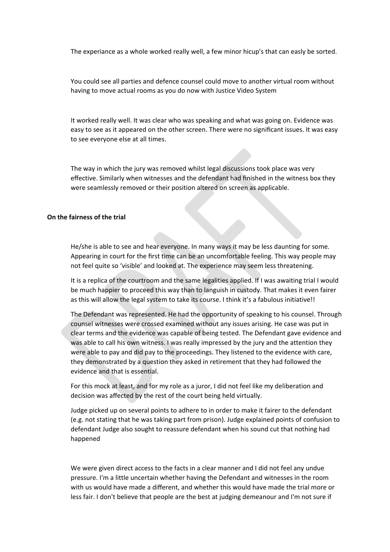The experiance as a whole worked really well, a few minor hicup's that can easly be sorted.

You could see all parties and defence counsel could move to another virtual room without having to move actual rooms as you do now with Justice Video System

It worked really well. It was clear who was speaking and what was going on. Evidence was easy to see as it appeared on the other screen. There were no significant issues. It was easy to see everyone else at all times.

The way in which the jury was removed whilst legal discussions took place was very effective. Similarly when witnesses and the defendant had finished in the witness box they were seamlessly removed or their position altered on screen as applicable.

## **On the fairness of the trial**

He/she is able to see and hear everyone. In many ways it may be less daunting for some. Appearing in court for the first time can be an uncomfortable feeling. This way people may not feel quite so 'visible' and looked at. The experience may seem less threatening.

It is a replica of the courtroom and the same legalities applied. If I was awaiting trial I would be much happier to proceed this way than to languish in custody. That makes it even fairer as this will allow the legal system to take its course. I think it's a fabulous initiative!!

The Defendant was represented. He had the opportunity of speaking to his counsel. Through counsel witnesses were crossed examined without any issues arising. He case was put in clear terms and the evidence was capable of being tested. The Defendant gave evidence and was able to call his own witness. I was really impressed by the jury and the attention they were able to pay and did pay to the proceedings. They listened to the evidence with care, they demonstrated by a question they asked in retirement that they had followed the evidence and that is essential.

For this mock at least, and for my role as a juror, I did not feel like my deliberation and decision was affected by the rest of the court being held virtually.

Judge picked up on several points to adhere to in order to make it fairer to the defendant (e.g. not stating that he was taking part from prison). Judge explained points of confusion to defendant Judge also sought to reassure defendant when his sound cut that nothing had happened

We were given direct access to the facts in a clear manner and I did not feel any undue pressure. I'm a little uncertain whether having the Defendant and witnesses in the room with us would have made a different, and whether this would have made the trial more or less fair. I don't believe that people are the best at judging demeanour and I'm not sure if